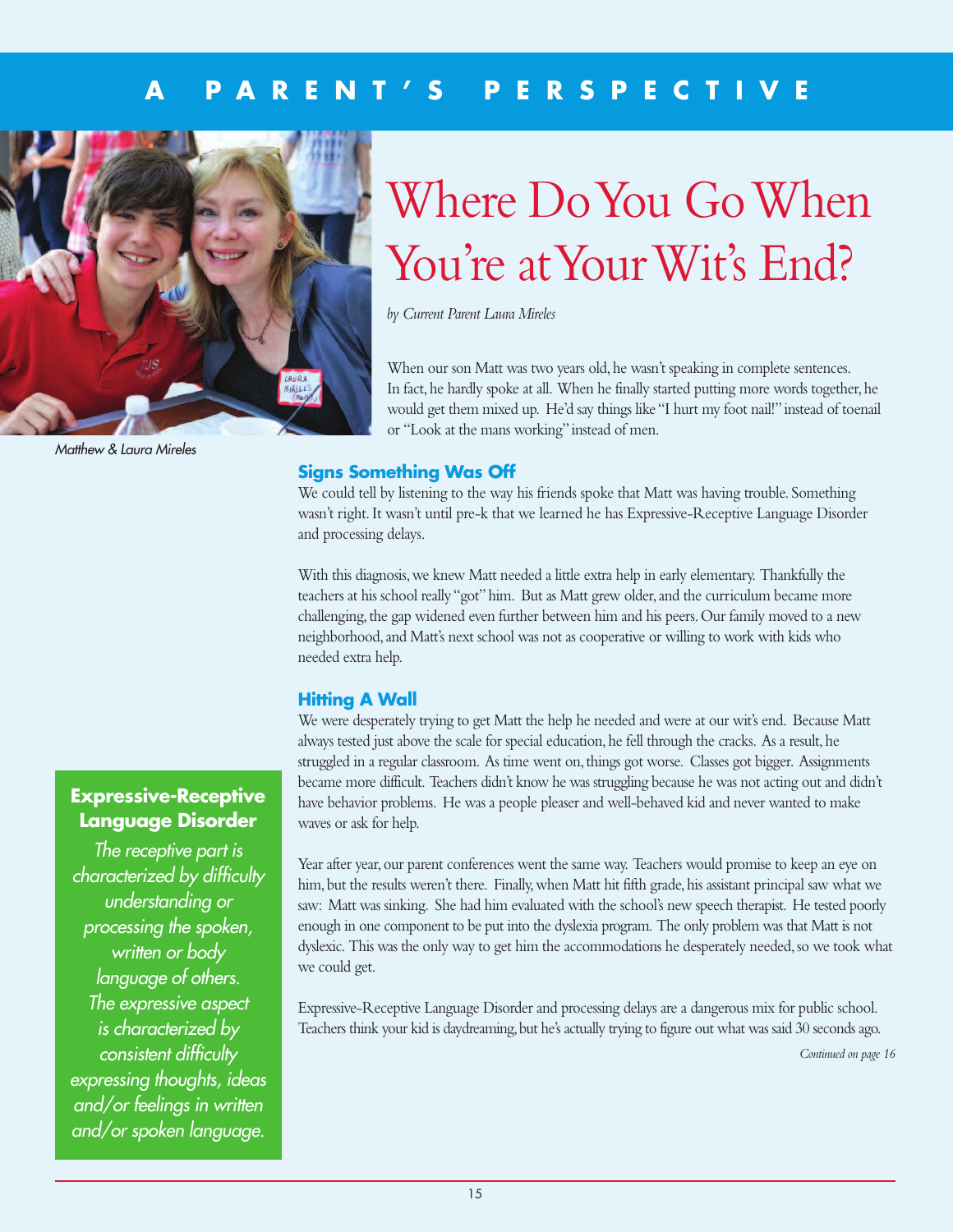## **A P A R E N T ' S P E R S P E C T I V E**



*Matthew & Laura Mireles*

# Where DoYou GoWhen You're at Your Wit's End?

*by Current Parent Laura Mireles*

When our son Matt was two years old, he wasn't speaking in complete sentences. In fact, he hardly spoke at all. When he finally started putting more words together, he would get them mixed up. He'd say things like "I hurt my foot nail!" instead of toenail or "Look at the mans working" instead of men.

## **Signs Something Was Off**

We could tell by listening to the way his friends spoke that Matt was having trouble. Something wasn't right.It wasn't until pre-k that we learned he has Expressive-Receptive Language Disorder and processing delays.

With this diagnosis,we knew Matt needed a little extra help in early elementary. Thankfully the teachers at his school really "got"him. But as Matt grew older,and the curriculum became more challenging, the gap widened even further between him and his peers. Our family moved to a new neighborhood,and Matt's next school was not as cooperative or willing to work with kids who needed extra help.

### **Hitting A Wall**

We were desperately trying to get Matt the help he needed and were at our wit's end. Because Matt always tested just above the scale for special education, he fell through the cracks. As a result, he struggled in a regular classroom. As time went on,things got worse. Classes got bigger. Assignments became more difficult. Teachers didn't know he was struggling because he was not acting out and didn't have behavior problems. He was a people pleaser and well-behaved kid and never wanted to make waves or ask for help.

Year after year, our parent conferences went the same way. Teachers would promise to keep an eye on him, but the results weren't there. Finally, when Matt hit fifth grade, his assistant principal saw what we saw: Matt was sinking. She had him evaluated with the school's new speech therapist. He tested poorly enough in one component to be put into the dyslexia program. The only problem was that Matt is not dyslexic. This was the only way to get him the accommodations he desperately needed, so we took what we could get.

Expressive-Receptive Language Disorder and processing delays are a dangerous mix for public school. Teachers think your kid is daydreaming, but he's actually trying to figure out what was said 30 seconds ago.

*Continued on page 16*

## **Expressive-Receptive Language Disorder**

*The receptive part is characterized by difficulty understanding or processing the spoken, written or body language of others. The expressive aspect is characterized by consistent difficulty expressing thoughts, ideas and/or feelings in written and/or spoken language.*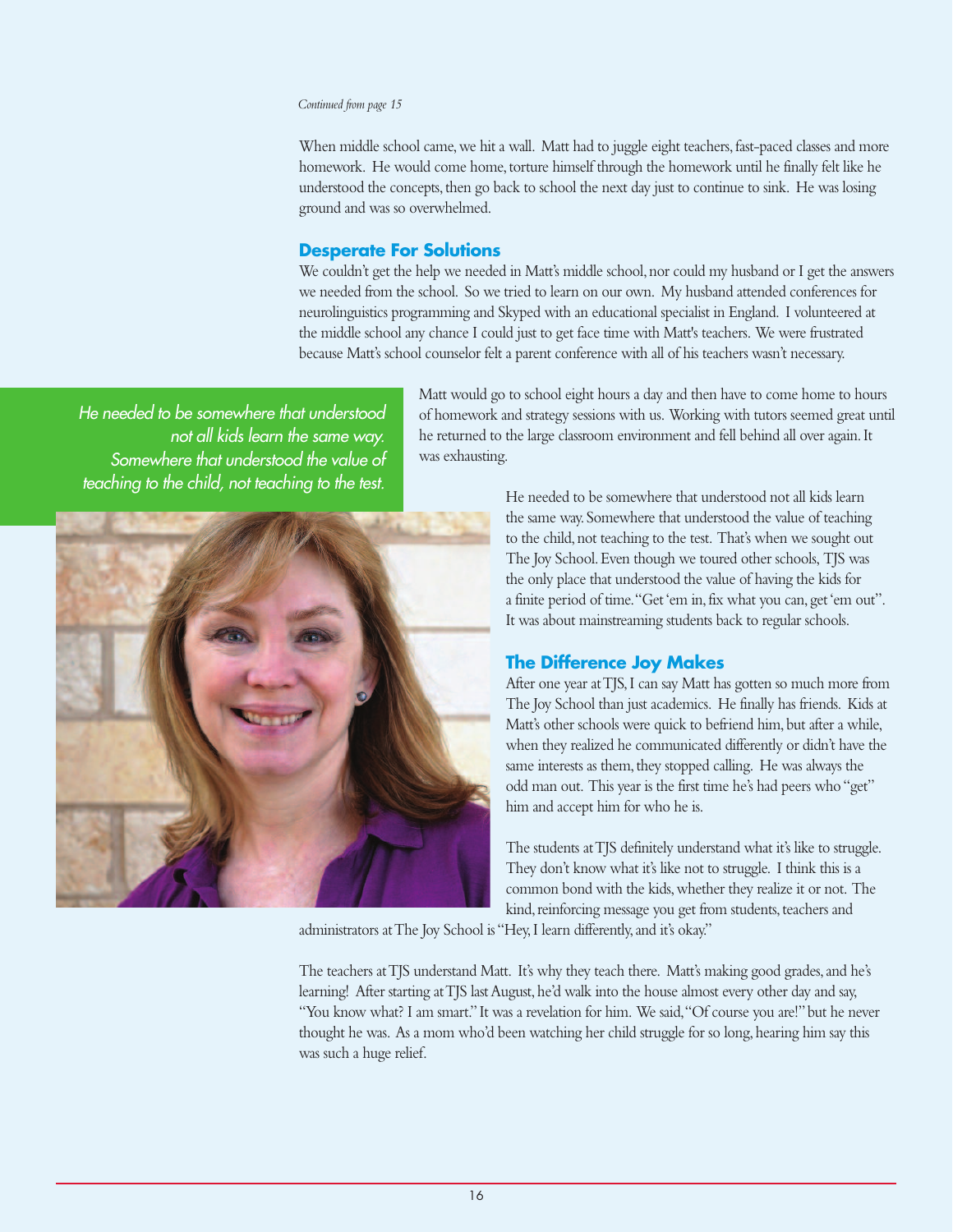#### *Continued from page 15*

When middle school came, we hit a wall. Matt had to juggle eight teachers, fast-paced classes and more homework. He would come home,torture himself through the homework until he finally felt like he understood the concepts, then go back to school the next day just to continue to sink. He was losing ground and was so overwhelmed.

#### **Desperate For Solutions**

We couldn't get the help we needed in Matt's middle school, nor could my husband or I get the answers we needed from the school. So we tried to learn on our own. My husband attended conferences for neurolinguistics programming and Skyped with an educational specialist in England. I volunteered at the middle school any chance I could just to get face time with Matt's teachers. We were frustrated because Matt's school counselor felt a parent conference with all of his teachers wasn't necessary.

*He needed to be somewhere that understood not all kids learn the same way. Somewhere that understood the value of teaching to the child, not teaching to the test.*



Matt would go to school eight hours a day and then have to come home to hours of homework and strategy sessions with us. Working with tutors seemed great until he returned to the large classroom environment and fell behind all over again.It was exhausting.

> He needed to be somewhere that understood not all kids learn the same way. Somewhere that understood the value of teaching to the child,not teaching to the test. That's when we sought out The Joy School.Even though we toured other schools, TJS was the only place that understood the value of having the kids for a finite period of time."Get'em in,fix what you can, get'em out". It was about mainstreaming students back to regular schools.

## **The Difference Joy Makes**

After one year atTJS,I can say Matt has gotten so much more from The Joy School than just academics. He finally has friends. Kids at Matt's other schools were quick to befriend him, but after a while, when they realized he communicated differently or didn't have the same interests as them, they stopped calling. He was always the odd man out. This year is the first time he's had peers who"get" him and accept him for who he is.

The students at TJS definitely understand what it's like to struggle. They don't know what it's like not to struggle. I think this is a common bond with the kids,whether they realize it or not. The kind, reinforcing message you get from students, teachers and

administrators at The Joy School is "Hey, I learn differently, and it's okay."

The teachers at TJS understand Matt. It's why they teach there. Matt's making good grades, and he's learning! After starting at TJS last August, he'd walk into the house almost every other day and say, "You know what? I am smart." It was a revelation for him. We said,"Of course you are!" but he never thought he was. As a mom who'd been watching her child struggle for so long, hearing him say this was such a huge relief.